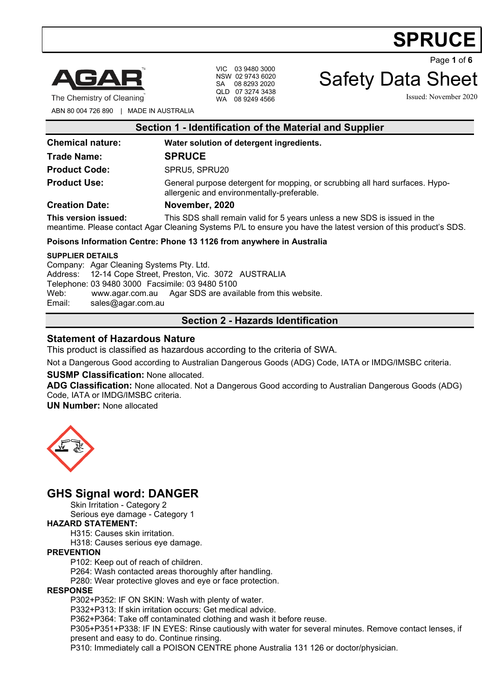

VIC 03 9480 3000 NSW 02 9743 6020 SA 08 8293 2020 QLD 07 3274 3438 Safety Data Sheet

Page **1** of **6**

The Chemistry of Cleaning WA 08 9249 4566 Issued: November 2020

ABN 80 004 726 890 | MADE IN AUSTRALIA

| Section 1 - Identification of the Material and Supplier |                                                                                                                                                                                              |  |
|---------------------------------------------------------|----------------------------------------------------------------------------------------------------------------------------------------------------------------------------------------------|--|
| <b>Chemical nature:</b>                                 | Water solution of detergent ingredients.                                                                                                                                                     |  |
| <b>Trade Name:</b>                                      | <b>SPRUCE</b>                                                                                                                                                                                |  |
| <b>Product Code:</b>                                    | SPRU5, SPRU20                                                                                                                                                                                |  |
| <b>Product Use:</b>                                     | General purpose detergent for mopping, or scrubbing all hard surfaces. Hypo-<br>allergenic and environmentally-preferable.                                                                   |  |
| <b>Creation Date:</b>                                   | November, 2020                                                                                                                                                                               |  |
| This version issued:                                    | This SDS shall remain valid for 5 years unless a new SDS is issued in the<br>meantime. Please contact Agar Cleaning Systems P/L to ensure you have the latest version of this product's SDS. |  |

#### **Poisons Information Centre: Phone 13 1126 from anywhere in Australia**

#### **SUPPLIER DETAILS**

Company: Agar Cleaning Systems Pty. Ltd. Address: 12-14 Cope Street, Preston, Vic. 3072 AUSTRALIA Telephone: 03 9480 3000 Facsimile: 03 9480 5100 Web: [www.agar.com.au](http://www.agar.com.au/) Agar SDS are available from this website.<br>Email: sales@agar.com.au [sales@agar.com.au](mailto:sales@agar.com.au)

# **Section 2 - Hazards Identification**

#### **Statement of Hazardous Nature**

This product is classified as hazardous according to the criteria of SWA.

Not a Dangerous Good according to Australian Dangerous Goods (ADG) Code, IATA or IMDG/IMSBC criteria.

#### **SUSMP Classification:** None allocated.

**ADG Classification:** None allocated. Not a Dangerous Good according to Australian Dangerous Goods (ADG) Code, IATA or IMDG/IMSBC criteria.

**UN Number:** None allocated



# **GHS Signal word: DANGER**

Skin Irritation - Category 2

Serious eye damage - Category 1

#### **HAZARD STATEMENT:**

H315: Causes skin irritation.

H318: Causes serious eye damage.

#### **PREVENTION**

P102: Keep out of reach of children.

P264: Wash contacted areas thoroughly after handling.

P280: Wear protective gloves and eye or face protection.

#### **RESPONSE**

P302+P352: IF ON SKIN: Wash with plenty of water.

P332+P313: If skin irritation occurs: Get medical advice.

P362+P364: Take off contaminated clothing and wash it before reuse.

P305+P351+P338: IF IN EYES: Rinse cautiously with water for several minutes. Remove contact lenses, if present and easy to do. Continue rinsing.

P310: Immediately call a POISON CENTRE phone Australia 131 126 or doctor/physician.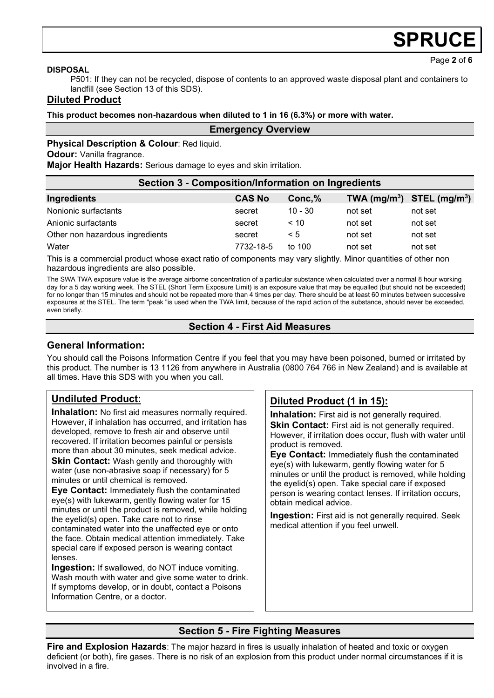Page **2** of **6**

#### **DISPOSAL**

P501: If they can not be recycled, dispose of contents to an approved waste disposal plant and containers to landfill (see Section 13 of this SDS).

#### **Diluted Product**

**This product becomes non-hazardous when diluted to 1 in 16 (6.3%) or more with water.**

#### **Emergency Overview**

**Physical Description & Colour: Red liquid.** 

**Odour:** Vanilla fragrance.

**Major Health Hazards:** Serious damage to eyes and skin irritation.

| <b>Section 3 - Composition/Information on Ingredients</b>                                                       |               |           |         |                                |  |
|-----------------------------------------------------------------------------------------------------------------|---------------|-----------|---------|--------------------------------|--|
| Ingredients                                                                                                     | <b>CAS No</b> | Conc,%    |         | TWA $(mg/m^3)$ STEL $(mg/m^3)$ |  |
| Nonionic surfactants                                                                                            | secret        | $10 - 30$ | not set | not set                        |  |
| Anionic surfactants                                                                                             | secret        | < 10      | not set | not set                        |  |
| Other non hazardous ingredients                                                                                 | secret        | $\leq 5$  | not set | not set                        |  |
| Water                                                                                                           | 7732-18-5     | to $100$  | not set | not set                        |  |
| This is a common cold modulated where and the fact of common order manuscript of the Controller of distribution |               |           |         |                                |  |

This is a commercial product whose exact ratio of components may vary slightly. Minor quantities of other non hazardous ingredients are also possible.

The SWA TWA exposure value is the average airborne concentration of a particular substance when calculated over a normal 8 hour working day for a 5 day working week. The STEL (Short Term Exposure Limit) is an exposure value that may be equalled (but should not be exceeded) for no longer than 15 minutes and should not be repeated more than 4 times per day. There should be at least 60 minutes between successive exposures at the STEL. The term "peak "is used when the TWA limit, because of the rapid action of the substance, should never be exceeded, even briefly.

#### **Section 4 - First Aid Measures**

# **General Information:**

You should call the Poisons Information Centre if you feel that you may have been poisoned, burned or irritated by this product. The number is 13 1126 from anywhere in Australia (0800 764 766 in New Zealand) and is available at all times. Have this SDS with you when you call.

# **Undiluted Product:**

**Inhalation:** No first aid measures normally required. However, if inhalation has occurred, and irritation has developed, remove to fresh air and observe until recovered. If irritation becomes painful or persists more than about 30 minutes, seek medical advice. **Skin Contact:** Wash gently and thoroughly with water (use non-abrasive soap if necessary) for 5 minutes or until chemical is removed.

**Eye Contact:** Immediately flush the contaminated eye(s) with lukewarm, gently flowing water for 15 minutes or until the product is removed, while holding the eyelid(s) open. Take care not to rinse contaminated water into the unaffected eye or onto the face. Obtain medical attention immediately. Take special care if exposed person is wearing contact lenses.

**Ingestion:** If swallowed, do NOT induce vomiting. Wash mouth with water and give some water to drink. If symptoms develop, or in doubt, contact a Poisons Information Centre, or a doctor.

# **Diluted Product (1 in 15):**

**Inhalation:** First aid is not generally required. **Skin Contact:** First aid is not generally required. However, if irritation does occur, flush with water until product is removed.

**Eye Contact:** Immediately flush the contaminated eye(s) with lukewarm, gently flowing water for 5 minutes or until the product is removed, while holding the eyelid(s) open. Take special care if exposed person is wearing contact lenses. If irritation occurs, obtain medical advice.

**Ingestion:** First aid is not generally required. Seek medical attention if you feel unwell.

# **Section 5 - Fire Fighting Measures**

**Fire and Explosion Hazards**: The major hazard in fires is usually inhalation of heated and toxic or oxygen deficient (or both), fire gases. There is no risk of an explosion from this product under normal circumstances if it is involved in a fire.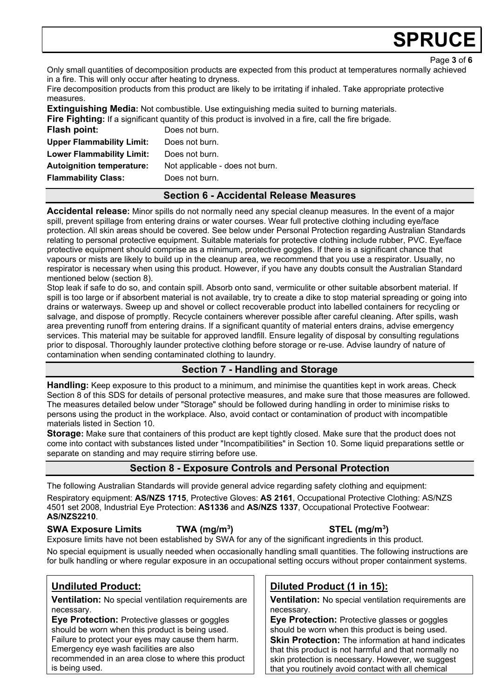Page **3** of **6**

Only small quantities of decomposition products are expected from this product at temperatures normally achieved in a fire. This will only occur after heating to dryness.

Fire decomposition products from this product are likely to be irritating if inhaled. Take appropriate protective measures.

**Extinguishing Media:** Not combustible. Use extinguishing media suited to burning materials. **Fire Fighting:** If a significant quantity of this product is involved in a fire, call the fire brigade.

| Flash point:                     | Does not burn.                  |
|----------------------------------|---------------------------------|
| <b>Upper Flammability Limit:</b> | Does not burn.                  |
| <b>Lower Flammability Limit:</b> | Does not burn.                  |
| <b>Autoignition temperature:</b> | Not applicable - does not burn. |
| <b>Flammability Class:</b>       | Does not burn.                  |
|                                  |                                 |

### **Section 6 - Accidental Release Measures**

**Accidental release:** Minor spills do not normally need any special cleanup measures. In the event of a major spill, prevent spillage from entering drains or water courses. Wear full protective clothing including eye/face protection. All skin areas should be covered. See below under Personal Protection regarding Australian Standards relating to personal protective equipment. Suitable materials for protective clothing include rubber, PVC. Eye/face protective equipment should comprise as a minimum, protective goggles. If there is a significant chance that vapours or mists are likely to build up in the cleanup area, we recommend that you use a respirator. Usually, no respirator is necessary when using this product. However, if you have any doubts consult the Australian Standard mentioned below (section 8).

Stop leak if safe to do so, and contain spill. Absorb onto sand, vermiculite or other suitable absorbent material. If spill is too large or if absorbent material is not available, try to create a dike to stop material spreading or going into drains or waterways. Sweep up and shovel or collect recoverable product into labelled containers for recycling or salvage, and dispose of promptly. Recycle containers wherever possible after careful cleaning. After spills, wash area preventing runoff from entering drains. If a significant quantity of material enters drains, advise emergency services. This material may be suitable for approved landfill. Ensure legality of disposal by consulting regulations prior to disposal. Thoroughly launder protective clothing before storage or re-use. Advise laundry of nature of contamination when sending contaminated clothing to laundry.

# **Section 7 - Handling and Storage**

**Handling:** Keep exposure to this product to a minimum, and minimise the quantities kept in work areas. Check Section 8 of this SDS for details of personal protective measures, and make sure that those measures are followed. The measures detailed below under "Storage" should be followed during handling in order to minimise risks to persons using the product in the workplace. Also, avoid contact or contamination of product with incompatible materials listed in Section 10.

**Storage:** Make sure that containers of this product are kept tightly closed. Make sure that the product does not come into contact with substances listed under "Incompatibilities" in Section 10. Some liquid preparations settle or separate on standing and may require stirring before use.

# **Section 8 - Exposure Controls and Personal Protection**

The following Australian Standards will provide general advice regarding safety clothing and equipment:

Respiratory equipment: **AS/NZS 1715**, Protective Gloves: **AS 2161**, Occupational Protective Clothing: AS/NZS 4501 set 2008, Industrial Eye Protection: **AS1336** and **AS/NZS 1337**, Occupational Protective Footwear: **AS/NZS2210**.

# **SWA Exposure Limits TWA (mg/m3**

**) STEL (mg/m3 )** Exposure limits have not been established by SWA for any of the significant ingredients in this product.

No special equipment is usually needed when occasionally handling small quantities. The following instructions are for bulk handling or where regular exposure in an occupational setting occurs without proper containment systems.

# **Undiluted Product:**

**Ventilation:** No special ventilation requirements are necessary.

**Eye Protection:** Protective glasses or goggles should be worn when this product is being used. Failure to protect your eyes may cause them harm. Emergency eye wash facilities are also

recommended in an area close to where this product is being used.

# **Diluted Product (1 in 15):**

**Ventilation:** No special ventilation requirements are necessary.

**Eye Protection:** Protective glasses or goggles should be worn when this product is being used. **Skin Protection:** The information at hand indicates that this product is not harmful and that normally no skin protection is necessary. However, we suggest that you routinely avoid contact with all chemical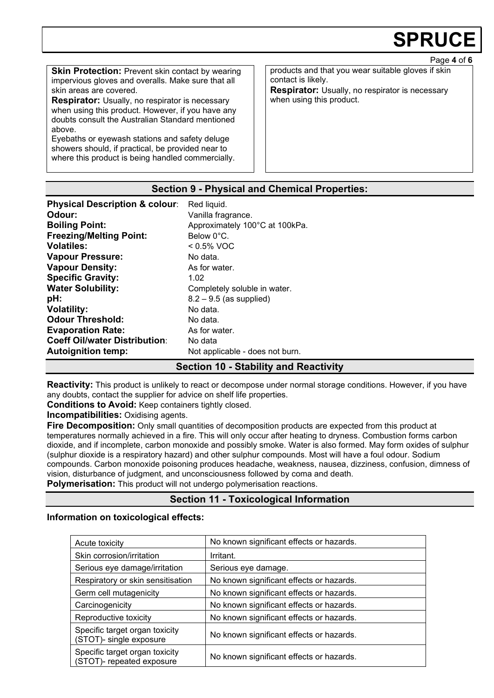Page **4** of **6**

**Skin Protection: Prevent skin contact by wearing** impervious gloves and overalls. Make sure that all skin areas are covered.

**Respirator:** Usually, no respirator is necessary when using this product. However, if you have any doubts consult the Australian Standard mentioned above.

Eyebaths or eyewash stations and safety deluge showers should, if practical, be provided near to where this product is being handled commercially. products and that you wear suitable gloves if skin contact is likely.

**Respirator:** Usually, no respirator is necessary when using this product.

#### **Section 9 - Physical and Chemical Properties:**

| <b>Physical Description &amp; colour:</b> | Red liquid.                     |
|-------------------------------------------|---------------------------------|
| Odour:                                    | Vanilla fragrance.              |
| <b>Boiling Point:</b>                     | Approximately 100°C at 100kPa.  |
| <b>Freezing/Melting Point:</b>            | Below 0°C.                      |
| <b>Volatiles:</b>                         | $< 0.5\%$ VOC                   |
| <b>Vapour Pressure:</b>                   | No data.                        |
| <b>Vapour Density:</b>                    | As for water.                   |
| <b>Specific Gravity:</b>                  | 1.02                            |
| <b>Water Solubility:</b>                  | Completely soluble in water.    |
| pH:                                       | $8.2 - 9.5$ (as supplied)       |
| <b>Volatility:</b>                        | No data.                        |
| <b>Odour Threshold:</b>                   | No data.                        |
| <b>Evaporation Rate:</b>                  | As for water.                   |
| <b>Coeff Oil/water Distribution:</b>      | No data                         |
| <b>Autoignition temp:</b>                 | Not applicable - does not burn. |

### **Section 10 - Stability and Reactivity**

**Reactivity:** This product is unlikely to react or decompose under normal storage conditions. However, if you have any doubts, contact the supplier for advice on shelf life properties.

**Conditions to Avoid:** Keep containers tightly closed.

**Incompatibilities:** Oxidising agents.

**Fire Decomposition:** Only small quantities of decomposition products are expected from this product at temperatures normally achieved in a fire. This will only occur after heating to dryness. Combustion forms carbon dioxide, and if incomplete, carbon monoxide and possibly smoke. Water is also formed. May form oxides of sulphur (sulphur dioxide is a respiratory hazard) and other sulphur compounds. Most will have a foul odour. Sodium compounds. Carbon monoxide poisoning produces headache, weakness, nausea, dizziness, confusion, dimness of vision, disturbance of judgment, and unconsciousness followed by coma and death.

**Polymerisation:** This product will not undergo polymerisation reactions.

# **Section 11 - Toxicological Information**

#### **Information on toxicological effects:**

| Acute toxicity                                              | No known significant effects or hazards. |
|-------------------------------------------------------------|------------------------------------------|
| Skin corrosion/irritation                                   | Irritant.                                |
| Serious eye damage/irritation                               | Serious eye damage.                      |
| Respiratory or skin sensitisation                           | No known significant effects or hazards. |
| Germ cell mutagenicity                                      | No known significant effects or hazards. |
| Carcinogenicity                                             | No known significant effects or hazards. |
| Reproductive toxicity                                       | No known significant effects or hazards. |
| Specific target organ toxicity<br>(STOT)- single exposure   | No known significant effects or hazards. |
| Specific target organ toxicity<br>(STOT)- repeated exposure | No known significant effects or hazards. |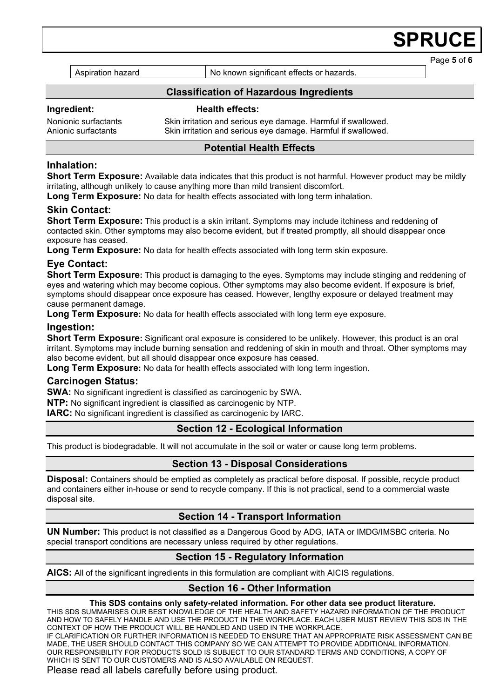Aspiration hazard **No known significant effects or hazards.** 

Page **5** of **6**

### **Classification of Hazardous Ingredients**

**Ingredient: Health effects:** 

#### Nonionic surfactants Skin irritation and serious eye damage. Harmful if swallowed. Skin irritation and serious eye damage. Harmful if swallowed.

### **Potential Health Effects**

#### **Inhalation:**

**Short Term Exposure:** Available data indicates that this product is not harmful. However product may be mildly irritating, although unlikely to cause anything more than mild transient discomfort.

**Long Term Exposure:** No data for health effects associated with long term inhalation.

#### **Skin Contact:**

**Short Term Exposure:** This product is a skin irritant. Symptoms may include itchiness and reddening of contacted skin. Other symptoms may also become evident, but if treated promptly, all should disappear once exposure has ceased.

**Long Term Exposure:** No data for health effects associated with long term skin exposure.

### **Eye Contact:**

**Short Term Exposure:** This product is damaging to the eyes. Symptoms may include stinging and reddening of eyes and watering which may become copious. Other symptoms may also become evident. If exposure is brief, symptoms should disappear once exposure has ceased. However, lengthy exposure or delayed treatment may cause permanent damage.

**Long Term Exposure:** No data for health effects associated with long term eye exposure.

#### **Ingestion:**

**Short Term Exposure:** Significant oral exposure is considered to be unlikely. However, this product is an oral irritant. Symptoms may include burning sensation and reddening of skin in mouth and throat. Other symptoms may also become evident, but all should disappear once exposure has ceased.

**Long Term Exposure:** No data for health effects associated with long term ingestion.

#### **Carcinogen Status:**

**SWA:** No significant ingredient is classified as carcinogenic by SWA.

**NTP:** No significant ingredient is classified as carcinogenic by NTP.

**IARC:** No significant ingredient is classified as carcinogenic by IARC.

#### **Section 12 - Ecological Information**

This product is biodegradable. It will not accumulate in the soil or water or cause long term problems.

#### **Section 13 - Disposal Considerations**

**Disposal:** Containers should be emptied as completely as practical before disposal. If possible, recycle product and containers either in-house or send to recycle company. If this is not practical, send to a commercial waste disposal site.

#### **Section 14 - Transport Information**

**UN Number:** This product is not classified as a Dangerous Good by ADG, IATA or IMDG/IMSBC criteria. No special transport conditions are necessary unless required by other regulations.

# **Section 15 - Regulatory Information**

**AICS:** All of the significant ingredients in this formulation are compliant with AICIS regulations.

#### **Section 16 - Other Information**

#### **This SDS contains only safety-related information. For other data see product literature.**

THIS SDS SUMMARISES OUR BEST KNOWLEDGE OF THE HEALTH AND SAFETY HAZARD INFORMATION OF THE PRODUCT AND HOW TO SAFELY HANDLE AND USE THE PRODUCT IN THE WORKPLACE. EACH USER MUST REVIEW THIS SDS IN THE CONTEXT OF HOW THE PRODUCT WILL BE HANDLED AND USED IN THE WORKPLACE.

IF CLARIFICATION OR FURTHER INFORMATION IS NEEDED TO ENSURE THAT AN APPROPRIATE RISK ASSESSMENT CAN BE MADE, THE USER SHOULD CONTACT THIS COMPANY SO WE CAN ATTEMPT TO PROVIDE ADDITIONAL INFORMATION. OUR RESPONSIBILITY FOR PRODUCTS SOLD IS SUBJECT TO OUR STANDARD TERMS AND CONDITIONS, A COPY OF WHICH IS SENT TO OUR CUSTOMERS AND IS ALSO AVAILABLE ON REQUEST.

Please read all labels carefully before using product.